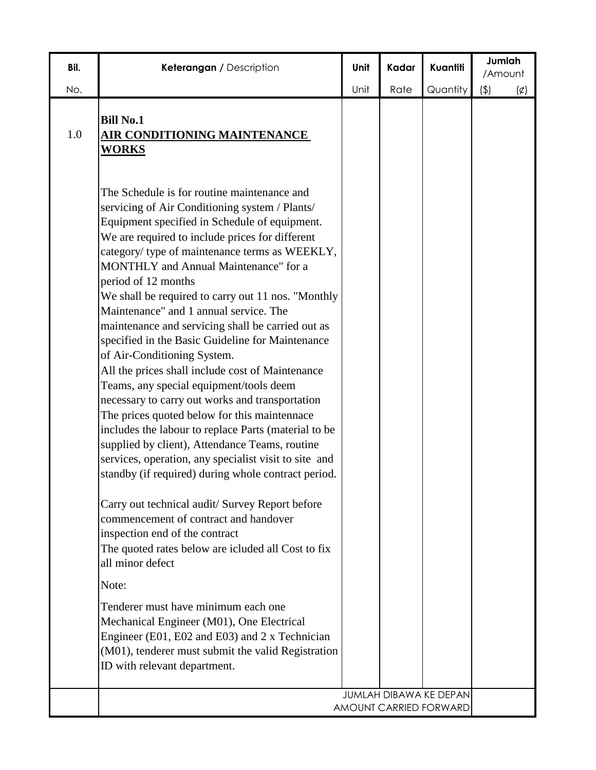| Bil. | Keterangan / Description                                                                                                                                                                                                                                                                                                                                                                                                                                                                                                                                                                                                                                                                                                                                                                                                                                                                                                                                                                                                                                                                                                                                                                                                                                                                                                                                                                             | Unit | Kadar | Kuantiti                                                | Jumlah<br>/Amount  |
|------|------------------------------------------------------------------------------------------------------------------------------------------------------------------------------------------------------------------------------------------------------------------------------------------------------------------------------------------------------------------------------------------------------------------------------------------------------------------------------------------------------------------------------------------------------------------------------------------------------------------------------------------------------------------------------------------------------------------------------------------------------------------------------------------------------------------------------------------------------------------------------------------------------------------------------------------------------------------------------------------------------------------------------------------------------------------------------------------------------------------------------------------------------------------------------------------------------------------------------------------------------------------------------------------------------------------------------------------------------------------------------------------------------|------|-------|---------------------------------------------------------|--------------------|
| No.  |                                                                                                                                                                                                                                                                                                                                                                                                                                                                                                                                                                                                                                                                                                                                                                                                                                                                                                                                                                                                                                                                                                                                                                                                                                                                                                                                                                                                      | Unit | Rate  | Quantity                                                | (4)<br>$(\varphi)$ |
| 1.0  | <b>Bill No.1</b><br><b>AIR CONDITIONING MAINTENANCE</b><br><b>WORKS</b>                                                                                                                                                                                                                                                                                                                                                                                                                                                                                                                                                                                                                                                                                                                                                                                                                                                                                                                                                                                                                                                                                                                                                                                                                                                                                                                              |      |       |                                                         |                    |
|      | The Schedule is for routine maintenance and<br>servicing of Air Conditioning system / Plants/<br>Equipment specified in Schedule of equipment.<br>We are required to include prices for different<br>category/ type of maintenance terms as WEEKLY,<br>MONTHLY and Annual Maintenance" for a<br>period of 12 months<br>We shall be required to carry out 11 nos. "Monthly<br>Maintenance" and 1 annual service. The<br>maintenance and servicing shall be carried out as<br>specified in the Basic Guideline for Maintenance<br>of Air-Conditioning System.<br>All the prices shall include cost of Maintenance<br>Teams, any special equipment/tools deem<br>necessary to carry out works and transportation<br>The prices quoted below for this maintennace<br>includes the labour to replace Parts (material to be<br>supplied by client), Attendance Teams, routine<br>services, operation, any specialist visit to site and<br>standby (if required) during whole contract period.<br>Carry out technical audit/ Survey Report before<br>commencement of contract and handover<br>inspection end of the contract<br>The quoted rates below are icluded all Cost to fix<br>all minor defect<br>Note:<br>Tenderer must have minimum each one<br>Mechanical Engineer (M01), One Electrical<br>Engineer (E01, E02 and E03) and 2 x Technician<br>(M01), tenderer must submit the valid Registration |      |       |                                                         |                    |
|      | ID with relevant department.                                                                                                                                                                                                                                                                                                                                                                                                                                                                                                                                                                                                                                                                                                                                                                                                                                                                                                                                                                                                                                                                                                                                                                                                                                                                                                                                                                         |      |       |                                                         |                    |
|      |                                                                                                                                                                                                                                                                                                                                                                                                                                                                                                                                                                                                                                                                                                                                                                                                                                                                                                                                                                                                                                                                                                                                                                                                                                                                                                                                                                                                      |      |       | <b>JUMLAH DIBAWA KE DEPAN</b><br>AMOUNT CARRIED FORWARD |                    |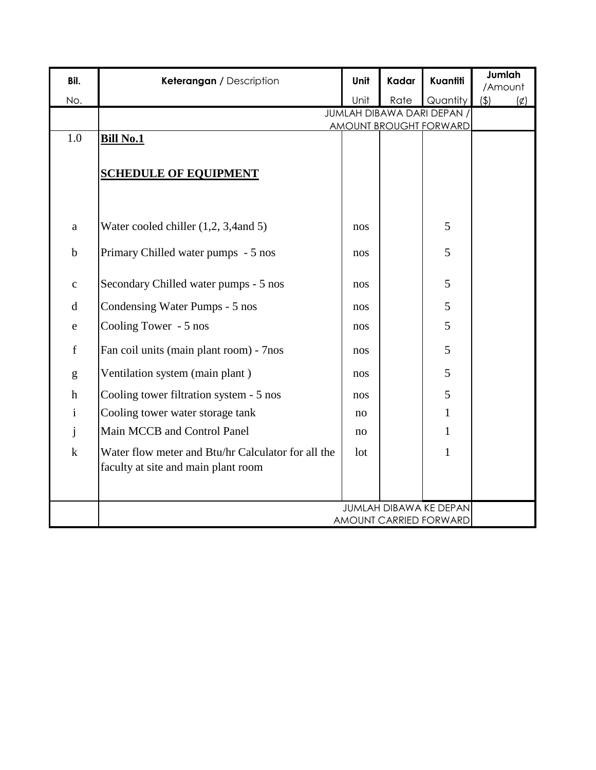| Bil.                                                                                                                                                                                                                                                                                                                                                                                                                           | Keterangan / Description                                           | Unit | Kadar | Kuantiti                                         | Jumlah<br>/Amount |             |
|--------------------------------------------------------------------------------------------------------------------------------------------------------------------------------------------------------------------------------------------------------------------------------------------------------------------------------------------------------------------------------------------------------------------------------|--------------------------------------------------------------------|------|-------|--------------------------------------------------|-------------------|-------------|
| No.                                                                                                                                                                                                                                                                                                                                                                                                                            |                                                                    | Unit | Rate  | Quantity                                         | (4)               | $(\varphi)$ |
|                                                                                                                                                                                                                                                                                                                                                                                                                                | <b>JUMLAH DIBAWA DARI DEPAN /</b><br><b>AMOUNT BROUGHT FORWARD</b> |      |       |                                                  |                   |             |
| 1.0                                                                                                                                                                                                                                                                                                                                                                                                                            | <b>Bill No.1</b>                                                   |      |       |                                                  |                   |             |
|                                                                                                                                                                                                                                                                                                                                                                                                                                |                                                                    |      |       |                                                  |                   |             |
|                                                                                                                                                                                                                                                                                                                                                                                                                                | <b>SCHEDULE OF EQUIPMENT</b>                                       |      |       |                                                  |                   |             |
|                                                                                                                                                                                                                                                                                                                                                                                                                                |                                                                    |      |       |                                                  |                   |             |
|                                                                                                                                                                                                                                                                                                                                                                                                                                |                                                                    |      |       |                                                  |                   |             |
| a                                                                                                                                                                                                                                                                                                                                                                                                                              | Water cooled chiller (1,2, 3,4 and 5)                              | nos  |       | 5                                                |                   |             |
| $\mathbf b$                                                                                                                                                                                                                                                                                                                                                                                                                    | Primary Chilled water pumps - 5 nos                                | nos  |       | 5                                                |                   |             |
|                                                                                                                                                                                                                                                                                                                                                                                                                                |                                                                    |      |       |                                                  |                   |             |
| $\mathbf{C}$                                                                                                                                                                                                                                                                                                                                                                                                                   | Secondary Chilled water pumps - 5 nos                              | nos  |       | 5                                                |                   |             |
| $\mathbf d$                                                                                                                                                                                                                                                                                                                                                                                                                    | Condensing Water Pumps - 5 nos                                     | nos  |       | 5                                                |                   |             |
| e                                                                                                                                                                                                                                                                                                                                                                                                                              | Cooling Tower - 5 nos                                              | nos  |       | 5                                                |                   |             |
| $\mathbf f$                                                                                                                                                                                                                                                                                                                                                                                                                    | Fan coil units (main plant room) - 7nos                            | nos  |       | 5                                                |                   |             |
|                                                                                                                                                                                                                                                                                                                                                                                                                                |                                                                    |      |       | 5                                                |                   |             |
| $\mathbf{g}% _{T}=\mathbf{g}_{T}=\mathbf{g}_{T}=\mathbf{g}_{T}=\mathbf{g}_{T}=\mathbf{g}_{T}=\mathbf{g}_{T}=\mathbf{g}_{T}=\mathbf{g}_{T}=\mathbf{g}_{T}=\mathbf{g}_{T}=\mathbf{g}_{T}=\mathbf{g}_{T}=\mathbf{g}_{T}=\mathbf{g}_{T}=\mathbf{g}_{T}=\mathbf{g}_{T}=\mathbf{g}_{T}=\mathbf{g}_{T}=\mathbf{g}_{T}=\mathbf{g}_{T}=\mathbf{g}_{T}=\mathbf{g}_{T}=\mathbf{g}_{T}=\mathbf{g}_{T}=\mathbf{g}_{T}=\mathbf{g}_{T}=\math$ | Ventilation system (main plant)                                    | nos  |       |                                                  |                   |             |
| $\boldsymbol{h}$                                                                                                                                                                                                                                                                                                                                                                                                               | Cooling tower filtration system - 5 nos                            | nos  |       | 5                                                |                   |             |
| $\mathbf{i}$                                                                                                                                                                                                                                                                                                                                                                                                                   | Cooling tower water storage tank                                   | no   |       | $\mathbf{1}$                                     |                   |             |
| j                                                                                                                                                                                                                                                                                                                                                                                                                              | Main MCCB and Control Panel                                        | no   |       | $\mathbf{1}$                                     |                   |             |
| $\mathbf k$                                                                                                                                                                                                                                                                                                                                                                                                                    | Water flow meter and Btu/hr Calculator for all the                 | lot  |       | $\mathbf{1}$                                     |                   |             |
|                                                                                                                                                                                                                                                                                                                                                                                                                                | faculty at site and main plant room                                |      |       |                                                  |                   |             |
|                                                                                                                                                                                                                                                                                                                                                                                                                                |                                                                    |      |       |                                                  |                   |             |
|                                                                                                                                                                                                                                                                                                                                                                                                                                |                                                                    |      |       | JUMLAH DIBAWA KE DEPAN<br>AMOUNT CARRIED FORWARD |                   |             |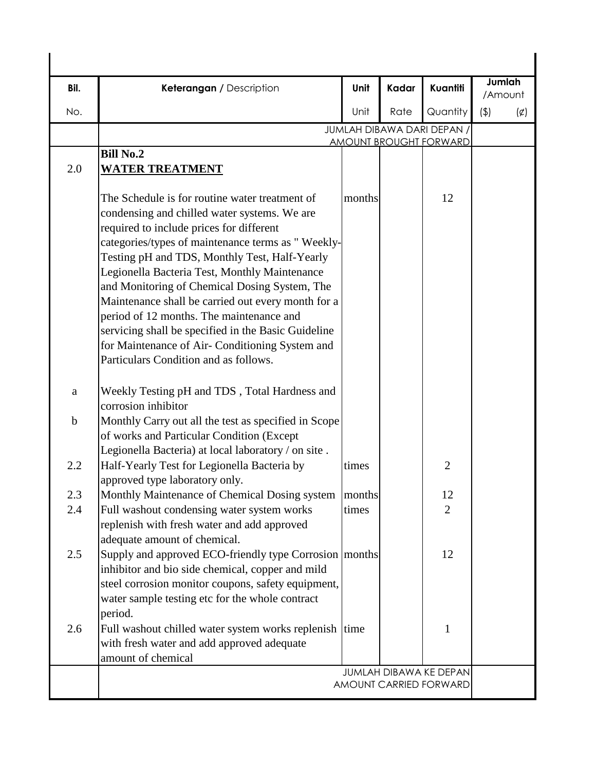| Bil.        | Keterangan / Description                                                                                                                                                                                                                                                                                                                                                                                                                                                                                                                                                                                | Unit   | Kadar | Kuantiti                                                    | Jumlah<br>/Amount |             |
|-------------|---------------------------------------------------------------------------------------------------------------------------------------------------------------------------------------------------------------------------------------------------------------------------------------------------------------------------------------------------------------------------------------------------------------------------------------------------------------------------------------------------------------------------------------------------------------------------------------------------------|--------|-------|-------------------------------------------------------------|-------------------|-------------|
| No.         |                                                                                                                                                                                                                                                                                                                                                                                                                                                                                                                                                                                                         | Unit   | Rate  | Quantity                                                    | (4)               | $(\varphi)$ |
|             |                                                                                                                                                                                                                                                                                                                                                                                                                                                                                                                                                                                                         |        |       | JUMLAH DIBAWA DARI DEPAN /<br><b>AMOUNT BROUGHT FORWARD</b> |                   |             |
|             | <b>Bill No.2</b>                                                                                                                                                                                                                                                                                                                                                                                                                                                                                                                                                                                        |        |       |                                                             |                   |             |
| 2.0         | <b>WATER TREATMENT</b>                                                                                                                                                                                                                                                                                                                                                                                                                                                                                                                                                                                  |        |       |                                                             |                   |             |
|             | The Schedule is for routine water treatment of<br>condensing and chilled water systems. We are<br>required to include prices for different<br>categories/types of maintenance terms as "Weekly-<br>Testing pH and TDS, Monthly Test, Half-Yearly<br>Legionella Bacteria Test, Monthly Maintenance<br>and Monitoring of Chemical Dosing System, The<br>Maintenance shall be carried out every month for a<br>period of 12 months. The maintenance and<br>servicing shall be specified in the Basic Guideline<br>for Maintenance of Air- Conditioning System and<br>Particulars Condition and as follows. | months |       | 12                                                          |                   |             |
| a           | Weekly Testing pH and TDS, Total Hardness and<br>corrosion inhibitor                                                                                                                                                                                                                                                                                                                                                                                                                                                                                                                                    |        |       |                                                             |                   |             |
| $\mathbf b$ | Monthly Carry out all the test as specified in Scope<br>of works and Particular Condition (Except<br>Legionella Bacteria) at local laboratory / on site.                                                                                                                                                                                                                                                                                                                                                                                                                                                |        |       |                                                             |                   |             |
| 2.2         | Half-Yearly Test for Legionella Bacteria by<br>approved type laboratory only.                                                                                                                                                                                                                                                                                                                                                                                                                                                                                                                           | times  |       | $\overline{2}$                                              |                   |             |
| 2.3         | Monthly Maintenance of Chemical Dosing system                                                                                                                                                                                                                                                                                                                                                                                                                                                                                                                                                           | months |       | 12                                                          |                   |             |
| 2.4         | Full washout condensing water system works<br>replenish with fresh water and add approved<br>adequate amount of chemical.                                                                                                                                                                                                                                                                                                                                                                                                                                                                               | times  |       | $\overline{2}$                                              |                   |             |
| 2.5         | Supply and approved ECO-friendly type Corrosion months<br>inhibitor and bio side chemical, copper and mild<br>steel corrosion monitor coupons, safety equipment,<br>water sample testing etc for the whole contract<br>period.                                                                                                                                                                                                                                                                                                                                                                          |        |       | 12                                                          |                   |             |
| 2.6         | Full washout chilled water system works replenish time<br>with fresh water and add approved adequate<br>amount of chemical                                                                                                                                                                                                                                                                                                                                                                                                                                                                              |        |       | 1                                                           |                   |             |
|             |                                                                                                                                                                                                                                                                                                                                                                                                                                                                                                                                                                                                         |        |       | JUMLAH DIBAWA KE DEPAN<br>AMOUNT CARRIED FORWARD            |                   |             |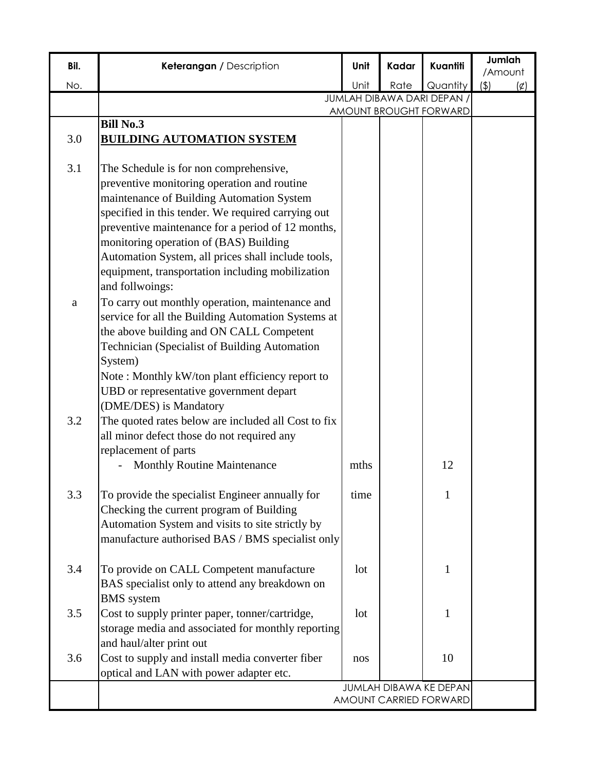| Bil. | Keterangan / Description                                           | Unit | Kadar | Kuantiti                      | Jumlah                |
|------|--------------------------------------------------------------------|------|-------|-------------------------------|-----------------------|
| No.  |                                                                    | Unit | Rate  | Quantity                      | /Amount<br>(4)<br>(¢) |
|      |                                                                    |      |       | JUMLAH DIBAWA DARI DEPAN,     |                       |
|      |                                                                    |      |       | <b>AMOUNT BROUGHT FORWARD</b> |                       |
|      | <b>Bill No.3</b>                                                   |      |       |                               |                       |
| 3.0  | <b>BUILDING AUTOMATION SYSTEM</b>                                  |      |       |                               |                       |
| 3.1  | The Schedule is for non comprehensive,                             |      |       |                               |                       |
|      | preventive monitoring operation and routine                        |      |       |                               |                       |
|      | maintenance of Building Automation System                          |      |       |                               |                       |
|      | specified in this tender. We required carrying out                 |      |       |                               |                       |
|      | preventive maintenance for a period of 12 months,                  |      |       |                               |                       |
|      | monitoring operation of (BAS) Building                             |      |       |                               |                       |
|      | Automation System, all prices shall include tools,                 |      |       |                               |                       |
|      | equipment, transportation including mobilization                   |      |       |                               |                       |
|      | and follwoings:                                                    |      |       |                               |                       |
| a    | To carry out monthly operation, maintenance and                    |      |       |                               |                       |
|      | service for all the Building Automation Systems at                 |      |       |                               |                       |
|      | the above building and ON CALL Competent                           |      |       |                               |                       |
|      | Technician (Specialist of Building Automation                      |      |       |                               |                       |
|      | System)                                                            |      |       |                               |                       |
|      | Note: Monthly kW/ton plant efficiency report to                    |      |       |                               |                       |
|      | UBD or representative government depart                            |      |       |                               |                       |
|      | (DME/DES) is Mandatory                                             |      |       |                               |                       |
| 3.2  | The quoted rates below are included all Cost to fix                |      |       |                               |                       |
|      | all minor defect those do not required any<br>replacement of parts |      |       |                               |                       |
|      | <b>Monthly Routine Maintenance</b>                                 | mths |       | 12                            |                       |
|      |                                                                    |      |       |                               |                       |
| 3.3  | To provide the specialist Engineer annually for                    | time |       | 1                             |                       |
|      | Checking the current program of Building                           |      |       |                               |                       |
|      | Automation System and visits to site strictly by                   |      |       |                               |                       |
|      | manufacture authorised BAS / BMS specialist only                   |      |       |                               |                       |
|      |                                                                    |      |       |                               |                       |
| 3.4  | To provide on CALL Competent manufacture                           | lot  |       | $\mathbf{1}$                  |                       |
|      | BAS specialist only to attend any breakdown on                     |      |       |                               |                       |
|      | <b>BMS</b> system                                                  |      |       |                               |                       |
| 3.5  | Cost to supply printer paper, tonner/cartridge,                    | lot  |       | 1                             |                       |
|      | storage media and associated for monthly reporting                 |      |       |                               |                       |
|      | and haul/alter print out                                           |      |       |                               |                       |
| 3.6  | Cost to supply and install media converter fiber                   | nos  |       | 10                            |                       |
|      | optical and LAN with power adapter etc.                            |      |       |                               |                       |
|      |                                                                    |      |       | <b>JUMLAH DIBAWA KE DEPAN</b> |                       |
|      |                                                                    |      |       | AMOUNT CARRIED FORWARD        |                       |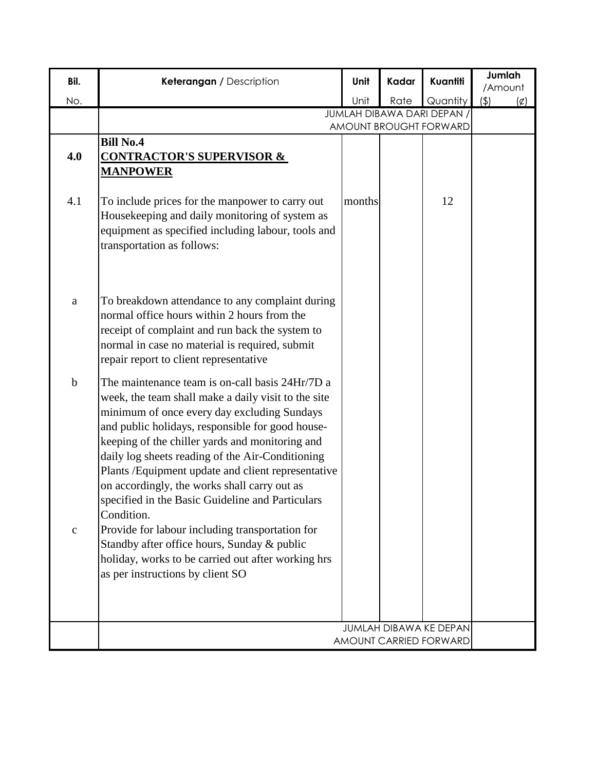| Bil.                        | Keterangan / Description                                                                                                                                                                                                                                                                                                                                                                                                                                                                                                                                                                                                                                                              | Unit   | Kadar | Kuantiti                                         | Jumlah<br>/Amount |
|-----------------------------|---------------------------------------------------------------------------------------------------------------------------------------------------------------------------------------------------------------------------------------------------------------------------------------------------------------------------------------------------------------------------------------------------------------------------------------------------------------------------------------------------------------------------------------------------------------------------------------------------------------------------------------------------------------------------------------|--------|-------|--------------------------------------------------|-------------------|
| No.                         |                                                                                                                                                                                                                                                                                                                                                                                                                                                                                                                                                                                                                                                                                       | Unit   | Rate  | Quantity                                         | (4)<br>(¢)        |
|                             |                                                                                                                                                                                                                                                                                                                                                                                                                                                                                                                                                                                                                                                                                       |        |       | JUMLAH DIBAWA DARI DEPAN /                       |                   |
|                             | <b>Bill No.4</b>                                                                                                                                                                                                                                                                                                                                                                                                                                                                                                                                                                                                                                                                      |        |       | AMOUNT BROUGHT FORWARD                           |                   |
| 4.0                         | <b>CONTRACTOR'S SUPERVISOR &amp;</b><br><b>MANPOWER</b>                                                                                                                                                                                                                                                                                                                                                                                                                                                                                                                                                                                                                               |        |       |                                                  |                   |
| 4.1                         | To include prices for the manpower to carry out<br>Housekeeping and daily monitoring of system as<br>equipment as specified including labour, tools and<br>transportation as follows:                                                                                                                                                                                                                                                                                                                                                                                                                                                                                                 | months |       | 12                                               |                   |
| a                           | To breakdown attendance to any complaint during<br>normal office hours within 2 hours from the<br>receipt of complaint and run back the system to<br>normal in case no material is required, submit<br>repair report to client representative                                                                                                                                                                                                                                                                                                                                                                                                                                         |        |       |                                                  |                   |
| $\mathbf b$<br>$\mathbf{C}$ | The maintenance team is on-call basis 24Hr/7D a<br>week, the team shall make a daily visit to the site<br>minimum of once every day excluding Sundays<br>and public holidays, responsible for good house-<br>keeping of the chiller yards and monitoring and<br>daily log sheets reading of the Air-Conditioning<br>Plants / Equipment update and client representative<br>on accordingly, the works shall carry out as<br>specified in the Basic Guideline and Particulars<br>Condition.<br>Provide for labour including transportation for<br>Standby after office hours, Sunday & public<br>holiday, works to be carried out after working hrs<br>as per instructions by client SO |        |       |                                                  |                   |
|                             |                                                                                                                                                                                                                                                                                                                                                                                                                                                                                                                                                                                                                                                                                       |        |       |                                                  |                   |
|                             |                                                                                                                                                                                                                                                                                                                                                                                                                                                                                                                                                                                                                                                                                       |        |       | JUMLAH DIBAWA KE DEPAN<br>AMOUNT CARRIED FORWARD |                   |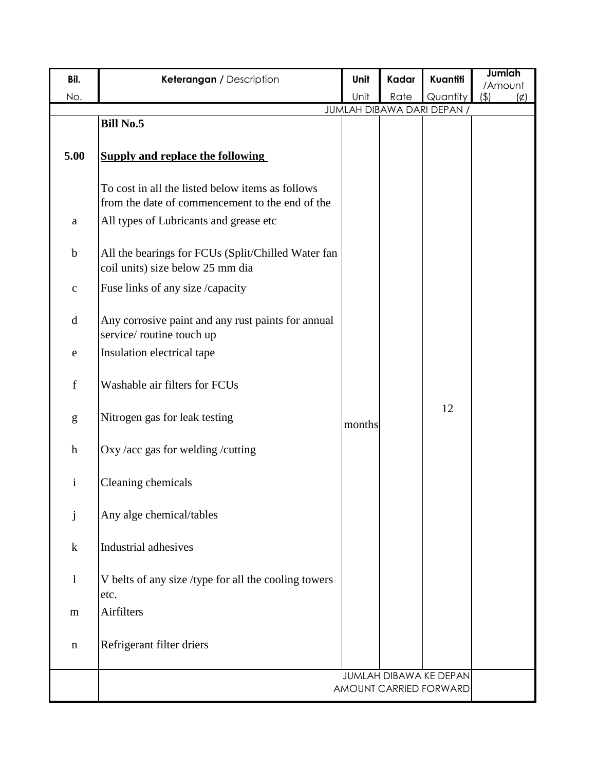| Bil.         | Keterangan / Description                                                                            | Unit   | Kadar | Kuantiti                   | Jumlah                            |
|--------------|-----------------------------------------------------------------------------------------------------|--------|-------|----------------------------|-----------------------------------|
| No.          |                                                                                                     | Unit   | Rate  | Quantity                   | /Amount<br>(4)<br>$(\not\subset)$ |
|              |                                                                                                     |        |       | JUMLAH DIBAWA DARI DEPAN / |                                   |
|              | <b>Bill No.5</b>                                                                                    |        |       |                            |                                   |
| 5.00         | <b>Supply and replace the following</b>                                                             |        |       |                            |                                   |
|              | To cost in all the listed below items as follows<br>from the date of commencement to the end of the |        |       |                            |                                   |
| a            | All types of Lubricants and grease etc                                                              |        |       |                            |                                   |
| $\mathbf b$  | All the bearings for FCUs (Split/Chilled Water fan<br>coil units) size below 25 mm dia              |        |       |                            |                                   |
| $\mathbf C$  | Fuse links of any size /capacity                                                                    |        |       |                            |                                   |
| $\mathbf d$  | Any corrosive paint and any rust paints for annual<br>service/routine touch up                      |        |       |                            |                                   |
| e            | Insulation electrical tape                                                                          |        |       |                            |                                   |
| $\mathbf f$  | Washable air filters for FCUs                                                                       |        |       |                            |                                   |
| g            | Nitrogen gas for leak testing                                                                       | months |       | 12                         |                                   |
| $\mathbf h$  | Oxy /acc gas for welding /cutting                                                                   |        |       |                            |                                   |
| $\mathbf{i}$ | Cleaning chemicals                                                                                  |        |       |                            |                                   |
| $\mathbf{j}$ | Any alge chemical/tables                                                                            |        |       |                            |                                   |
| $\bf k$      | Industrial adhesives                                                                                |        |       |                            |                                   |
| $\mathbf{l}$ | V belts of any size /type for all the cooling towers<br>etc.                                        |        |       |                            |                                   |
| m            | Airfilters                                                                                          |        |       |                            |                                   |
| n            | Refrigerant filter driers                                                                           |        |       |                            |                                   |
|              |                                                                                                     |        |       | JUMLAH DIBAWA KE DEPAN     |                                   |
|              |                                                                                                     |        |       | AMOUNT CARRIED FORWARD     |                                   |